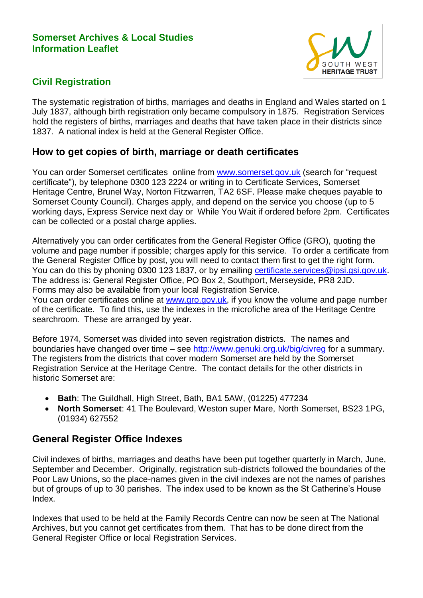#### **Somerset Archives & Local Studies Information Leaflet**



## **Civil Registration**

The systematic registration of births, marriages and deaths in England and Wales started on 1 July 1837, although birth registration only became compulsory in 1875. Registration Services hold the registers of births, marriages and deaths that have taken place in their districts since 1837. A national index is held at the General Register Office.

## **How to get copies of birth, marriage or death certificates**

You can order Somerset certificates online from [www.somerset.gov.uk](http://www.somerset.gov.uk/) (search for "request certificate"), by telephone 0300 123 2224 or writing in to Certificate Services, Somerset Heritage Centre, Brunel Way, Norton Fitzwarren, TA2 6SF. Please make cheques payable to Somerset County Council). Charges apply, and depend on the service you choose (up to 5 working days, Express Service next day or While You Wait if ordered before 2pm. Certificates can be collected or a postal charge applies.

Alternatively you can order certificates from the General Register Office (GRO), quoting the volume and page number if possible; charges apply for this service. To order a certificate from the General Register Office by post, you will need to contact them first to get the right form. You can do this by phoning 0300 123 1837, or by emailing [certificate.services@ipsi.gsi.gov.uk.](mailto:certificate.services@ipsi.gsi.gov.uk) The address is: General Register Office, PO Box 2, Southport, Merseyside, PR8 2JD. Forms may also be available from your local Registration Service. You can order certificates online at [www.gro.gov.uk,](http://www.gro.gov.uk/) if you know the volume and page number of the certificate. To find this, use the indexes in the microfiche area of the Heritage Centre searchroom. These are arranged by year.

Before 1974, Somerset was divided into seven registration districts. The names and boundaries have changed over time – see<http://www.genuki.org.uk/big/civreg> for a summary. The registers from the districts that cover modern Somerset are held by the Somerset Registration Service at the Heritage Centre. The contact details for the other districts in historic Somerset are:

- **Bath**: The Guildhall, High Street, Bath, BA1 5AW, (01225) 477234
- **North Somerset**: 41 The Boulevard, Weston super Mare, North Somerset, BS23 1PG, (01934) 627552

## **General Register Office Indexes**

Civil indexes of births, marriages and deaths have been put together quarterly in March, June, September and December. Originally, registration sub-districts followed the boundaries of the Poor Law Unions, so the place-names given in the civil indexes are not the names of parishes but of groups of up to 30 parishes. The index used to be known as the St Catherine's House Index.

Indexes that used to be held at the Family Records Centre can now be seen at The National Archives, but you cannot get certificates from them. That has to be done direct from the General Register Office or local Registration Services.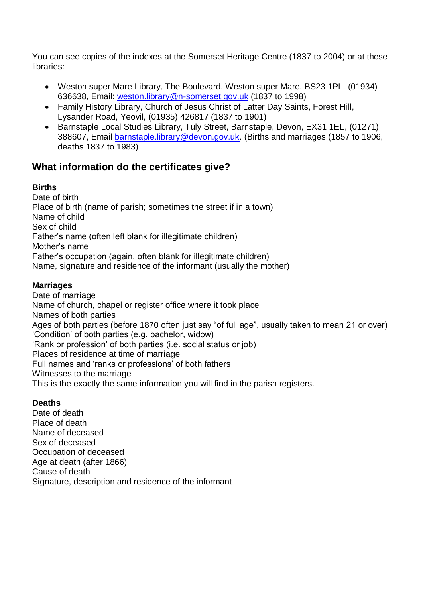You can see copies of the indexes at the Somerset Heritage Centre (1837 to 2004) or at these libraries:

- Weston super Mare Library, The Boulevard, Weston super Mare, BS23 1PL, (01934) 636638, Email: [weston.library@n-somerset.gov.uk](mailto:weston.library@n-somerset.gov.uk) (1837 to 1998)
- Family History Library, Church of Jesus Christ of Latter Day Saints, Forest Hill, Lysander Road, Yeovil, (01935) 426817 (1837 to 1901)
- Barnstaple Local Studies Library, Tuly Street, Barnstaple, Devon, EX31 1EL, (01271) 388607, Email [barnstaple.library@devon.gov.uk.](mailto:barnstaple.library@devon.gov.uk) (Births and marriages (1857 to 1906, deaths 1837 to 1983)

# **What information do the certificates give?**

#### **Births**

Date of birth Place of birth (name of parish; sometimes the street if in a town) Name of child Sex of child Father's name (often left blank for illegitimate children) Mother's name Father's occupation (again, often blank for illegitimate children) Name, signature and residence of the informant (usually the mother)

### **Marriages**

Date of marriage Name of church, chapel or register office where it took place Names of both parties Ages of both parties (before 1870 often just say "of full age", usually taken to mean 21 or over) 'Condition' of both parties (e.g. bachelor, widow) 'Rank or profession' of both parties (i.e. social status or job) Places of residence at time of marriage Full names and 'ranks or professions' of both fathers Witnesses to the marriage This is the exactly the same information you will find in the parish registers.

### **Deaths**

Date of death Place of death Name of deceased Sex of deceased Occupation of deceased Age at death (after 1866) Cause of death Signature, description and residence of the informant